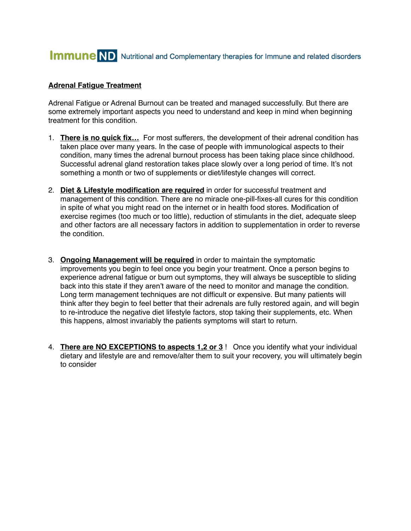## **Immune** ND Nutritional and Complementary therapies for Immune and related disorders

## **Adrenal Fatigue Treatment**

Adrenal Fatigue or Adrenal Burnout can be treated and managed successfully. But there are some extremely important aspects you need to understand and keep in mind when beginning treatment for this condition.

- 1. **There is no quick fix…** For most sufferers, the development of their adrenal condition has taken place over many years. In the case of people with immunological aspects to their condition, many times the adrenal burnout process has been taking place since childhood. Successful adrenal gland restoration takes place slowly over a long period of time. It's not something a month or two of supplements or diet/lifestyle changes will correct.
- 2. **Diet & Lifestyle modification are required** in order for successful treatment and management of this condition. There are no miracle one-pill-fixes-all cures for this condition in spite of what you might read on the internet or in health food stores. Modification of exercise regimes (too much or too little), reduction of stimulants in the diet, adequate sleep and other factors are all necessary factors in addition to supplementation in order to reverse the condition.
- 3. **Ongoing Management will be required** in order to maintain the symptomatic improvements you begin to feel once you begin your treatment. Once a person begins to experience adrenal fatigue or burn out symptoms, they will always be susceptible to sliding back into this state if they aren't aware of the need to monitor and manage the condition. Long term management techniques are not difficult or expensive. But many patients will think after they begin to feel better that their adrenals are fully restored again, and will begin to re-introduce the negative diet lifestyle factors, stop taking their supplements, etc. When this happens, almost invariably the patients symptoms will start to return.
- 4. **There are NO EXCEPTIONS to aspects 1,2 or 3** ! Once you identify what your individual dietary and lifestyle are and remove/alter them to suit your recovery, you will ultimately begin to consider